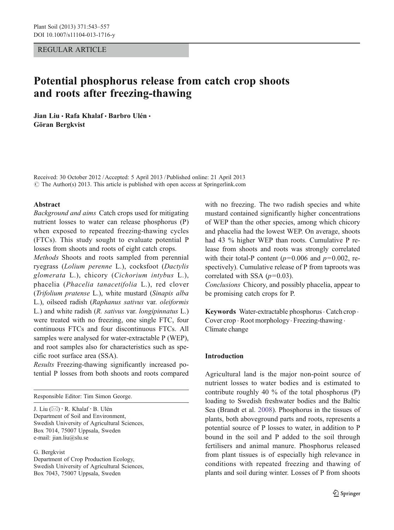REGULAR ARTICLE

# Potential phosphorus release from catch crop shoots and roots after freezing-thawing

Jian Liu · Rafa Khalaf · Barbro Ulén · Göran Bergkvist

Received: 30 October 2012 /Accepted: 5 April 2013 / Published online: 21 April 2013  $\odot$  The Author(s) 2013. This article is published with open access at Springerlink.com

## Abstract

Background and aims Catch crops used for mitigating nutrient losses to water can release phosphorus (P) when exposed to repeated freezing-thawing cycles (FTCs). This study sought to evaluate potential P losses from shoots and roots of eight catch crops.

Methods Shoots and roots sampled from perennial ryegrass (Lolium perenne L.), cocksfoot (Dactylis glomerata L.), chicory (Cichorium intybus L.), phacelia (Phacelia tanacetifolia L.), red clover (Trifolium pratense L.), white mustard (Sinapis alba L.), oilseed radish (Raphanus sativus var. oleiformis L.) and white radish (R. sativus var. longipinnatus L.) were treated with no freezing, one single FTC, four continuous FTCs and four discontinuous FTCs. All samples were analysed for water-extractable P (WEP), and root samples also for characteristics such as specific root surface area (SSA).

Results Freezing-thawing significantly increased potential P losses from both shoots and roots compared

Responsible Editor: Tim Simon George.

J. Liu (\*) : R. Khalaf : B. Ulén Department of Soil and Environment, Swedish University of Agricultural Sciences, Box 7014, 75007 Uppsala, Sweden e-mail: jian.liu@slu.se

G. Bergkvist

Department of Crop Production Ecology, Swedish University of Agricultural Sciences, Box 7043, 75007 Uppsala, Sweden

with no freezing. The two radish species and white mustard contained significantly higher concentrations of WEP than the other species, among which chicory and phacelia had the lowest WEP. On average, shoots had 43 % higher WEP than roots. Cumulative P release from shoots and roots was strongly correlated with their total-P content ( $p=0.006$  and  $p=0.002$ , respectively). Cumulative release of P from taproots was correlated with SSA  $(p=0.03)$ .

Conclusions Chicory, and possibly phacelia, appear to be promising catch crops for P.

Keywords Water-extractable phosphorus · Catch crop · Cover crop . Root morphology. Freezing-thawing . Climate change

# Introduction

Agricultural land is the major non-point source of nutrient losses to water bodies and is estimated to contribute roughly 40 % of the total phosphorus (P) loading to Swedish freshwater bodies and the Baltic Sea (Brandt et al. [2008](#page-14-0)). Phosphorus in the tissues of plants, both aboveground parts and roots, represents a potential source of P losses to water, in addition to P bound in the soil and P added to the soil through fertilisers and animal manure. Phosphorus released from plant tissues is of especially high relevance in conditions with repeated freezing and thawing of plants and soil during winter. Losses of P from shoots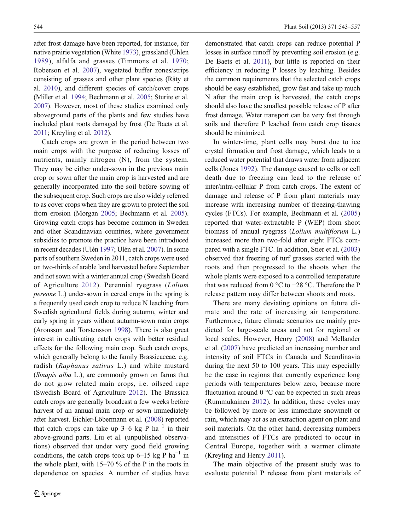after frost damage have been reported, for instance, for native prairie vegetation (White [1973](#page-14-0)), grassland (Uhlen [1989\)](#page-14-0), alfalfa and grasses (Timmons et al. [1970](#page-14-0); Roberson et al. [2007\)](#page-14-0), vegetated buffer zones/strips consisting of grasses and other plant species (Räty et al. [2010](#page-14-0)), and different species of catch/cover crops (Miller et al. [1994](#page-14-0); Bechmann et al. [2005](#page-14-0); Sturite et al. [2007](#page-14-0)). However, most of these studies examined only aboveground parts of the plants and few studies have included plant roots damaged by frost (De Baets et al. [2011](#page-14-0); Kreyling et al. [2012](#page-14-0)).

Catch crops are grown in the period between two main crops with the purpose of reducing losses of nutrients, mainly nitrogen (N), from the system. They may be either under-sown in the previous main crop or sown after the main crop is harvested and are generally incorporated into the soil before sowing of the subsequent crop. Such crops are also widely referred to as cover crops when they are grown to protect the soil from erosion (Morgan [2005;](#page-14-0) Bechmann et al. [2005\)](#page-14-0). Growing catch crops has become common in Sweden and other Scandinavian countries, where government subsidies to promote the practice have been introduced in recent decades (Ulén [1997](#page-14-0); Ulén et al. [2007\)](#page-14-0). In some parts of southern Sweden in 2011, catch crops were used on two-thirds of arable land harvested before September and not sown with a winter annual crop (Swedish Board of Agriculture [2012](#page-14-0)). Perennial ryegrass (Lolium perenne L.) under-sown in cereal crops in the spring is a frequently used catch crop to reduce N leaching from Swedish agricultural fields during autumn, winter and early spring in years without autumn-sown main crops (Aronsson and Torstensson [1998](#page-14-0)). There is also great interest in cultivating catch crops with better residual effects for the following main crop. Such catch crops, which generally belong to the family Brassicaceae, e.g. radish (Raphanus sativus L.) and white mustard (Sinapis alba L.), are commonly grown on farms that do not grow related main crops, i.e. oilseed rape (Swedish Board of Agriculture [2012\)](#page-14-0). The Brassica catch crops are generally broadcast a few weeks before harvest of an annual main crop or sown immediately after harvest. Eichler-Löbermann et al. [\(2008\)](#page-14-0) reported that catch crops can take up 3–6 kg P  $ha^{-1}$  in their above-ground parts. Liu et al. (unpublished observations) observed that under very good field growing conditions, the catch crops took up 6–15 kg P  $ha^{-1}$  in the whole plant, with  $15-70\%$  of the P in the roots in dependence on species. A number of studies have

demonstrated that catch crops can reduce potential P losses in surface runoff by preventing soil erosion (e.g. De Baets et al. [2011](#page-14-0)), but little is reported on their efficiency in reducing P losses by leaching. Besides the common requirements that the selected catch crops should be easy established, grow fast and take up much N after the main crop is harvested, the catch crops should also have the smallest possible release of P after frost damage. Water transport can be very fast through soils and therefore P leached from catch crop tissues should be minimized.

In winter-time, plant cells may burst due to ice crystal formation and frost damage, which leads to a reduced water potential that draws water from adjacent cells (Jones [1992\)](#page-14-0). The damage caused to cells or cell death due to freezing can lead to the release of inter/intra-cellular P from catch crops. The extent of damage and release of P from plant materials may increase with increasing number of freezing-thawing cycles (FTCs). For example, Bechmann et al. [\(2005](#page-14-0)) reported that water-extractable P (WEP) from shoot biomass of annual ryegrass (Lolium multiflorum L.) increased more than two-fold after eight FTCs compared with a single FTC. In addition, Stier et al. [\(2003](#page-14-0)) observed that freezing of turf grasses started with the roots and then progressed to the shoots when the whole plants were exposed to a controlled temperature that was reduced from 0 °C to −28 °C. Therefore the P release pattern may differ between shoots and roots.

There are many deviating opinions on future climate and the rate of increasing air temperature. Furthermore, future climate scenarios are mainly predicted for large-scale areas and not for regional or local scales. However, Henry ([2008\)](#page-14-0) and Mellander et al. [\(2007](#page-14-0)) have predicted an increasing number and intensity of soil FTCs in Canada and Scandinavia during the next 50 to 100 years. This may especially be the case in regions that currently experience long periods with temperatures below zero, because more fluctuation around  $0^{\circ}$ C can be expected in such areas (Rummukainen [2012](#page-14-0)). In addition, these cycles may be followed by more or less immediate snowmelt or rain, which may act as an extraction agent on plant and soil materials. On the other hand, decreasing numbers and intensities of FTCs are predicted to occur in Central Europe, together with a warmer climate (Kreyling and Henry [2011\)](#page-14-0).

The main objective of the present study was to evaluate potential P release from plant materials of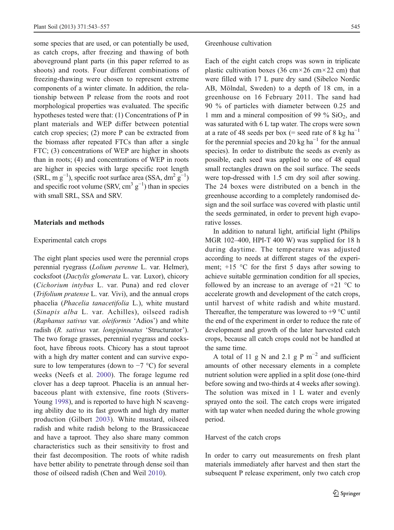some species that are used, or can potentially be used, as catch crops, after freezing and thawing of both aboveground plant parts (in this paper referred to as shoots) and roots. Four different combinations of freezing-thawing were chosen to represent extreme components of a winter climate. In addition, the relationship between P release from the roots and root morphological properties was evaluated. The specific hypotheses tested were that: (1) Concentrations of P in plant materials and WEP differ between potential catch crop species; (2) more P can be extracted from the biomass after repeated FTCs than after a single FTC; (3) concentrations of WEP are higher in shoots than in roots; (4) and concentrations of WEP in roots are higher in species with large specific root length (SRL, m  $g^{-1}$ ), specific root surface area (SSA, dm<sup>2</sup>  $g^{-1}$ ) and specific root volume (SRV, cm<sup>3</sup>  $g^{-1}$ ) than in species with small SRL, SSA and SRV.

# Materials and methods

# Experimental catch crops

The eight plant species used were the perennial crops perennial ryegrass (Lolium perenne L. var. Helmer), cocksfoot (Dactylis glomerata L. var. Luxor), chicory (Cichorium intybus L. var. Puna) and red clover (Trifolium pratense L. var. Vivi), and the annual crops phacelia (Phacelia tanacetifolia L.), white mustard (Sinapis alba L. var. Achilles), oilseed radish (Raphanus sativus var. oleiformis 'Adios') and white radish (R. sativus var. longipinnatus 'Structurator'). The two forage grasses, perennial ryegrass and cocksfoot, have fibrous roots. Chicory has a stout taproot with a high dry matter content and can survive exposure to low temperatures (down to  $-7$  °C) for several weeks (Neefs et al. [2000](#page-14-0)). The forage legume red clover has a deep taproot. Phacelia is an annual herbaceous plant with extensive, fine roots (Stivers-Young [1998\)](#page-14-0), and is reported to have high N scavenging ability due to its fast growth and high dry matter production (Gilbert [2003](#page-14-0)). White mustard, oilseed radish and white radish belong to the Brassicaceae and have a taproot. They also share many common characteristics such as their sensitivity to frost and their fast decomposition. The roots of white radish have better ability to penetrate through dense soil than those of oilseed radish (Chen and Weil [2010\)](#page-14-0).

### Greenhouse cultivation

Each of the eight catch crops was sown in triplicate plastic cultivation boxes (36 cm $\times$ 26 cm $\times$ 22 cm) that were filled with 17 L pure dry sand (Sibelco Nordic AB, Mölndal, Sweden) to a depth of 18 cm, in a greenhouse on 16 February 2011. The sand had 90 % of particles with diameter between 0.25 and 1 mm and a mineral composition of 99 %  $SiO<sub>2</sub>$ , and was saturated with 6 L tap water. The crops were sown at a rate of 48 seeds per box (= seed rate of 8 kg ha<sup>-1</sup> for the perennial species and 20 kg ha<sup> $-1$ </sup> for the annual species). In order to distribute the seeds as evenly as possible, each seed was applied to one of 48 equal small rectangles drawn on the soil surface. The seeds were top-dressed with 1.5 cm dry soil after sowing. The 24 boxes were distributed on a bench in the greenhouse according to a completely randomised design and the soil surface was covered with plastic until the seeds germinated, in order to prevent high evaporative losses.

In addition to natural light, artificial light (Philips MGR 102–400, HPI-T 400 W) was supplied for 18 h during daytime. The temperature was adjusted according to needs at different stages of the experiment;  $+15$  °C for the first 5 days after sowing to achieve suitable germination condition for all species, followed by an increase to an average of  $+21$  °C to accelerate growth and development of the catch crops, until harvest of white radish and white mustard. Thereafter, the temperature was lowered to  $+9$  °C until the end of the experiment in order to reduce the rate of development and growth of the later harvested catch crops, because all catch crops could not be handled at the same time.

A total of 11 g N and 2.1 g P  $m^{-2}$  and sufficient amounts of other necessary elements in a complete nutrient solution were applied in a split dose (one-third before sowing and two-thirds at 4 weeks after sowing). The solution was mixed in 1 L water and evenly sprayed onto the soil. The catch crops were irrigated with tap water when needed during the whole growing period.

## Harvest of the catch crops

In order to carry out measurements on fresh plant materials immediately after harvest and then start the subsequent P release experiment, only two catch crop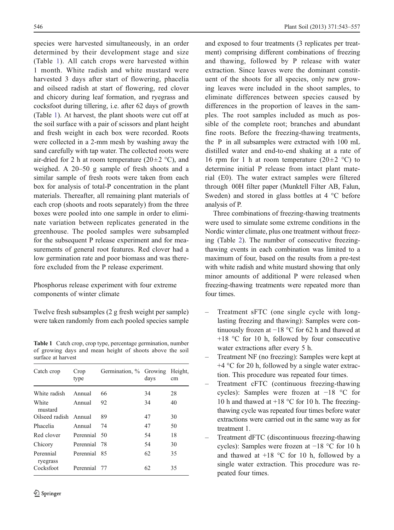species were harvested simultaneously, in an order determined by their development stage and size (Table 1). All catch crops were harvested within 1 month. White radish and white mustard were harvested 3 days after start of flowering, phacelia and oilseed radish at start of flowering, red clover and chicory during leaf formation, and ryegrass and cocksfoot during tillering, i.e. after 62 days of growth (Table 1). At harvest, the plant shoots were cut off at the soil surface with a pair of scissors and plant height and fresh weight in each box were recorded. Roots were collected in a 2-mm mesh by washing away the sand carefully with tap water. The collected roots were air-dried for 2 h at room temperature (20 $\pm$ 2 °C), and weighed. A 20–50 g sample of fresh shoots and a similar sample of fresh roots were taken from each box for analysis of total-P concentration in the plant materials. Thereafter, all remaining plant materials of each crop (shoots and roots separately) from the three boxes were pooled into one sample in order to eliminate variation between replicates generated in the greenhouse. The pooled samples were subsampled for the subsequent P release experiment and for measurements of general root features. Red clover had a low germination rate and poor biomass and was therefore excluded from the P release experiment.

Phosphorus release experiment with four extreme components of winter climate

Twelve fresh subsamples (2 g fresh weight per sample) were taken randomly from each pooled species sample

Table 1 Catch crop, crop type, percentage germination, number of growing days and mean height of shoots above the soil surface at harvest

| Catch crop            | Crop<br>type | Germination, % Growing | days | Height.<br>cm |
|-----------------------|--------------|------------------------|------|---------------|
| White radish          | Annual       | 66                     | 34   | 28            |
| White<br>mustard      | Annual       | 92                     | 34   | 40            |
| Oilseed radish Annual |              | 89                     | 47   | 30            |
| Phacelia              | Annual       | 74                     | 47   | 50            |
| Red clover            | Perennial 50 |                        | 54   | 18            |
| Chicory               | Perennial 78 |                        | 54   | 30            |
| Perennial<br>ryegrass | Perennial 85 |                        | 62   | 35            |
| Cocksfoot             | Perennial 77 |                        | 62   | 35            |

and exposed to four treatments (3 replicates per treatment) comprising different combinations of freezing and thawing, followed by P release with water extraction. Since leaves were the dominant constituent of the shoots for all species, only new growing leaves were included in the shoot samples, to eliminate differences between species caused by differences in the proportion of leaves in the samples. The root samples included as much as possible of the complete root; branches and abundant fine roots. Before the freezing-thawing treatments, the P in all subsamples were extracted with 100 mL distilled water and end-to-end shaking at a rate of 16 rpm for 1 h at room temperature (20 $\pm$ 2 °C) to determine initial P release from intact plant material (E0). The water extract samples were filtered through 00H filter paper (Munktell Filter AB, Falun, Sweden) and stored in glass bottles at 4 °C before analysis of P.

Three combinations of freezing-thawing treatments were used to simulate some extreme conditions in the Nordic winter climate, plus one treatment without freezing (Table [2](#page-4-0)). The number of consecutive freezingthawing events in each combination was limited to a maximum of four, based on the results from a pre-test with white radish and white mustard showing that only minor amounts of additional P were released when freezing-thawing treatments were repeated more than four times.

- Treatment sFTC (one single cycle with longlasting freezing and thawing): Samples were continuously frozen at  $-18$  °C for 62 h and thawed at +18 °C for 10 h, followed by four consecutive water extractions after every 5 h.
- Treatment NF (no freezing): Samples were kept at  $+4$  °C for 20 h, followed by a single water extraction. This procedure was repeated four times.
- Treatment cFTC (continuous freezing-thawing cycles): Samples were frozen at −18 °C for 10 h and thawed at +18 °C for 10 h. The freezingthawing cycle was repeated four times before water extractions were carried out in the same way as for treatment 1.
- Treatment dFTC (discontinuous freezing-thawing cycles): Samples were frozen at −18 °C for 10 h and thawed at  $+18$  °C for 10 h, followed by a single water extraction. This procedure was repeated four times.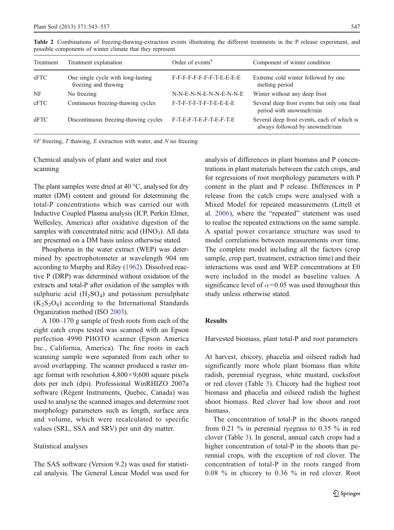| Treatment | Treatment explanation                                      | Order of events <sup>#</sup> | Component of winter condition                                                   |
|-----------|------------------------------------------------------------|------------------------------|---------------------------------------------------------------------------------|
| sFTC      | One single cycle with long-lasting<br>freezing and thawing | F-F-F-F-F-F-F-F-T-E-E-E-E    | Extreme cold winter followed by one<br>melting period                           |
| NF        | No freezing                                                | N-N-E-N-N-E-N-N-E-N-N-E      | Winter without any deep frost                                                   |
| cFTC      | Continuous freezing-thawing cycles                         | F-T-F-T-F-T-F-T-E-E-E-E      | Several deep frost events but only one final<br>period with snowmelt/rain       |
| dFTC      | Discontinuous freezing-thawing cycles                      | F-T-E-F-T-E-F-T-E-F-T-E      | Several deep frost events, each of which is<br>always followed by snowmelt/rain |

<span id="page-4-0"></span>Table 2 Combinations of freezing-thawing-extraction events illustrating the different treatments in the P release experiment, and possible components of winter climate that they represent

 $#F$  freezing, T thawing, E extraction with water, and N no freezing

# Chemical analysis of plant and water and root scanning

The plant samples were dried at 40 °C, analysed for dry matter (DM) content and ground for determining the total-P concentrations which was carried out with Inductive Coupled Plasma analysis (ICP, Perkin Elmer, Wellesley, America) after oxidative digestion of the samples with concentrated nitric acid  $(HNO<sub>3</sub>)$ . All data are presented on a DM basis unless otherwise stated.

Phosphorus in the water extract (WEP) was determined by spectrophotometer at wavelength 904 nm according to Murphy and Riley [\(1962\)](#page-14-0). Dissolved reactive P (DRP) was determined without oxidation of the extracts and total-P after oxidation of the samples with sulphuric acid  $(H_2SO_4)$  and potassium persulphate  $(K_2S_2O_8)$  according to the International Standards Organization method (ISO [2003\)](#page-14-0).

A 100–170 g sample of fresh roots from each of the eight catch crops tested was scanned with an Epson perfection 4990 PHOTO scanner (Epson America Inc., California, America). The fine roots in each scanning sample were separated from each other to avoid overlapping. The scanner produced a raster image format with resolution  $4,800 \times 9,600$  square pixels dots per inch (dpi). Professional WinRHIZO 2007a software (Régent Instruments, Quebec, Canada) was used to analyse the scanned images and determine root morphology parameters such as length, surface area and volume, which were recalculated to specific values (SRL, SSA and SRV) per unit dry matter.

### Statistical analyses

The SAS software (Version 9.2) was used for statistical analysis. The General Linear Model was used for analysis of differences in plant biomass and P concentrations in plant materials between the catch crops, and for regressions of root morphology parameters with P content in the plant and P release. Differences in P release from the catch crops were analysed with a Mixed Model for repeated measurements (Littell et al. [2006\)](#page-14-0), where the "repeated" statement was used to realise the repeated extractions on the same sample. A spatial power covariance structure was used to model correlations between measurements over time. The complete model including all the factors (crop sample, crop part, treatment, extraction time) and their interactions was used and WEP concentrations at E0 were included in the model as baseline values. A significance level of  $\alpha$ =0.05 was used throughout this study unless otherwise stated.

## Results

Harvested biomass, plant total-P and root parameters

At harvest, chicory, phacelia and oilseed radish had significantly more whole plant biomass than white radish, perennial ryegrass, white mustard, cocksfoot or red clover (Table [3](#page-5-0)). Chicory had the highest root biomass and phacelia and oilseed radish the highest shoot biomass. Red clover had low shoot and root biomass.

The concentration of total-P in the shoots ranged from 0.21 % in perennial ryegrass to 0.35 % in red clover (Table [3\)](#page-5-0). In general, annual catch crops had a higher concentration of total-P in the shoots than perennial crops, with the exception of red clover. The concentration of total-P in the roots ranged from 0.08 % in chicory to 0.36 % in red clover. Root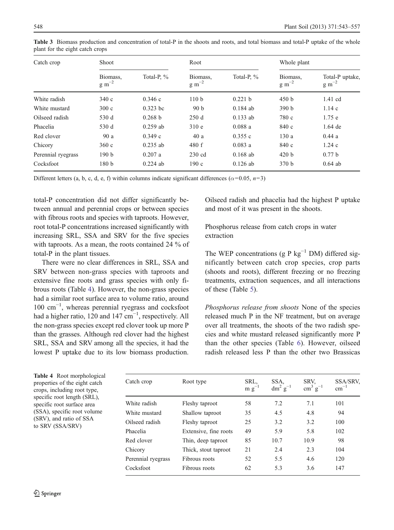| Catch crop         | Shoot                          |            | Root                       |            | Whole plant                |                                       |
|--------------------|--------------------------------|------------|----------------------------|------------|----------------------------|---------------------------------------|
|                    | Biomass,<br>$g \text{ m}^{-2}$ | Total-P, % | Biomass,<br>$\rm g~m^{-2}$ | Total-P, % | Biomass,<br>$\rm g~m^{-2}$ | Total-P uptake,<br>$g \text{ m}^{-2}$ |
| White radish       | 340c                           | 0.346c     | 110 <sub>b</sub>           | 0.221 h    | 450 b                      | 1.41 cd                               |
| White mustard      | 300c                           | $0.323$ bc | 90 <sub>b</sub>            | $0.184$ ab | 390 b                      | 1.14c                                 |
| Oilseed radish     | 530 d                          | 0.268 h    | 250d                       | $0.133$ ab | 780 c                      | $1.75$ e                              |
| Phacelia           | 530 d                          | $0.259$ ab | 310e                       | 0.088a     | 840 c                      | $1.64$ de                             |
| Red clover         | 90 a                           | 0.349c     | 40a                        | 0.355c     | 130a                       | 0.44a                                 |
| Chicory            | 360c                           | $0.235$ ab | 480 f                      | 0.083a     | 840 c                      | 1.24c                                 |
| Perennial ryegrass | 190 <sub>b</sub>               | 0.207a     | $230$ cd                   | $0.168$ ab | 420 b                      | 0.77h                                 |
| Cocksfoot          | 180 <sub>b</sub>               | $0.224$ ab | 190c                       | $0.126$ ab | 370 <sub>b</sub>           | $0.64$ ab                             |

<span id="page-5-0"></span>Table 3 Biomass production and concentration of total-P in the shoots and roots, and total biomass and total-P uptake of the whole plant for the eight catch crops

Different letters (a, b, c, d, e, f) within columns indicate significant differences ( $\alpha$ =0.05, n=3)

total-P concentration did not differ significantly between annual and perennial crops or between species with fibrous roots and species with taproots. However, root total-P concentrations increased significantly with increasing SRL, SSA and SRV for the five species with taproots. As a mean, the roots contained 24 % of total-P in the plant tissues.

There were no clear differences in SRL, SSA and SRV between non-grass species with taproots and extensive fine roots and grass species with only fibrous roots (Table 4). However, the non-grass species had a similar root surface area to volume ratio, around 100 cm−<sup>1</sup> , whereas perennial ryegrass and cocksfoot had a higher ratio, 120 and 147  $cm^{-1}$ , respectively. All the non-grass species except red clover took up more P than the grasses. Although red clover had the highest SRL, SSA and SRV among all the species, it had the lowest P uptake due to its low biomass production.

Oilseed radish and phacelia had the highest P uptake and most of it was present in the shoots.

Phosphorus release from catch crops in water extraction

The WEP concentrations (g P kg<sup>-1</sup> DM) differed significantly between catch crop species, crop parts (shoots and roots), different freezing or no freezing treatments, extraction sequences, and all interactions of these (Table [5](#page-6-0)).

Phosphorus release from shoots None of the species released much P in the NF treatment, but on average over all treatments, the shoots of the two radish species and white mustard released significantly more P than the other species (Table [6\)](#page-7-0). However, oilseed radish released less P than the other two Brassicas

Table 4 Root morphological properties of the eight catch crops, including root type, specific root length (SRL), specific root surface area (SSA), specific root volume (SRV), and ratio of SSA to SRV (SSA/SRV)

| Catch crop         | Root type             | SRL,<br>$m g^{-1}$ | SSA,<br>$dm^2$ g <sup>-1</sup> | SRV.<br>$\text{cm}^3 \text{ g}^{-1}$ | SSA/SRV,<br>$cm^{-1}$ |
|--------------------|-----------------------|--------------------|--------------------------------|--------------------------------------|-----------------------|
| White radish       | Fleshy taproot        | 58                 | 7.2                            | 7.1                                  | 101                   |
| White mustard      | Shallow taproot       | 35                 | 4.5                            | 4.8                                  | 94                    |
| Oilseed radish     | Fleshy taproot        | 25                 | 3.2                            | 3.2                                  | 100                   |
| Phacelia           | Extensive, fine roots | 49                 | 5.9                            | 5.8                                  | 102                   |
| Red clover         | Thin, deep taproot    | 85                 | 10.7                           | 10.9                                 | 98                    |
| Chicory            | Thick, stout taproot  | 21                 | 2.4                            | 2.3                                  | 104                   |
| Perennial ryegrass | Fibrous roots         | 52                 | 5.5                            | 4.6                                  | 120                   |
| Cocksfoot          | Fibrous roots         | 62                 | 5.3                            | 3.6                                  | 147                   |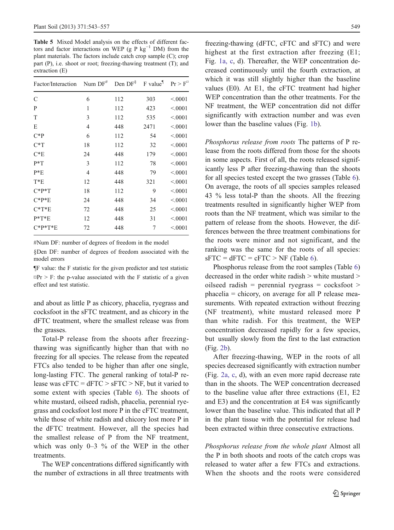<span id="page-6-0"></span>Table 5 Mixed Model analysis on the effects of different factors and factor interactions on WEP (g P kg<sup>-1</sup> DM) from the plant materials. The factors include catch crop sample (C); crop part (P), i.e. shoot or root; freezing-thawing treatment (T); and extraction (E)

| Factor/Interaction | Num $DF^{\#}$ | Den $DF^{\S}$ | F value <sup>¶</sup> | $Pr > F^{\circ}$ |
|--------------------|---------------|---------------|----------------------|------------------|
| $\mathcal{C}$      | 6             | 112           | 303                  | < 0001           |
| P                  | 1             | 112           | 423                  | < 0.001          |
| T                  | 3             | 112           | 535                  | < 0.001          |
| Ε                  | 4             | 448           | 2471                 | < 0.001          |
| $C^*P$             | 6             | 112           | 54                   | < 0001           |
| $C^*T$             | 18            | 112           | 32                   | < 0.001          |
| $C*E$              | 24            | 448           | 179                  | < 0.001          |
| $P^*T$             | 3             | 112           | 78                   | < 0.001          |
| $P*E$              | 4             | 448           | 79                   | < 0.001          |
| $T^*E$             | 12            | 448           | 321                  | < 0.001          |
| $C^*P^*T$          | 18            | 112           | 9                    | < 0.001          |
| $C^*P^*E$          | 24            | 448           | 34                   | < 0.001          |
| $C^*T^*E$          | 72            | 448           | 25                   | < 0.001          |
| $P^*T^*E$          | 12            | 448           | 31                   | < 0001           |
| $C*P*T*E$          | 72            | 448           | 7                    | < 0.001          |
|                    |               |               |                      |                  |

#Num DF: number of degrees of freedom in the model

§Den DF: number of degrees of freedom associated with the model errors

¶F value: the F statistic for the given predictor and test statistic  $\mathbb{Z}Pr$  > F: the p-value associated with the F statistic of a given effect and test statistic.

and about as little P as chicory, phacelia, ryegrass and cocksfoot in the sFTC treatment, and as chicory in the dFTC treatment, where the smallest release was from the grasses.

Total-P release from the shoots after freezingthawing was significantly higher than that with no freezing for all species. The release from the repeated FTCs also tended to be higher than after one single, long-lasting FTC. The general ranking of total-P release was  $cFTC = dFTC > sFTC > NF$ , but it varied to some extent with species (Table [6\)](#page-7-0). The shoots of white mustard, oilseed radish, phacelia, perennial ryegrass and cocksfoot lost more P in the cFTC treatment, while those of white radish and chicory lost more P in the dFTC treatment. However, all the species had the smallest release of P from the NF treatment, which was only 0–3 % of the WEP in the other treatments.

The WEP concentrations differed significantly with the number of extractions in all three treatments with freezing-thawing (dFTC, cFTC and sFTC) and were highest at the first extraction after freezing (E1; Fig. [1a, c,](#page-8-0) d). Thereafter, the WEP concentration decreased continuously until the fourth extraction, at which it was still slightly higher than the baseline values (E0). At E1, the cFTC treatment had higher WEP concentration than the other treatments. For the NF treatment, the WEP concentration did not differ significantly with extraction number and was even lower than the baseline values (Fig. [1b\)](#page-8-0).

Phosphorus release from roots The patterns of P release from the roots differed from those for the shoots in some aspects. First of all, the roots released significantly less P after freezing-thawing than the shoots for all species tested except the two grasses (Table [6\)](#page-7-0). On average, the roots of all species samples released 43 % less total-P than the shoots. All the freezing treatments resulted in significantly higher WEP from roots than the NF treatment, which was similar to the pattern of release from the shoots. However, the differences between the three treatment combinations for the roots were minor and not significant, and the ranking was the same for the roots of all species:  $sFTC = dFTC = cFTC > NF$  (Table [6](#page-7-0)).

Phosphorus release from the root samples (Table [6](#page-7-0)) decreased in the order white radish > white mustard > oilseed radish = perennial ryegrass =  $\text{cocksfoot}$  > phacelia = chicory, on average for all P release measurements. With repeated extraction without freezing (NF treatment), white mustard released more P than white radish. For this treatment, the WEP concentration decreased rapidly for a few species, but usually slowly from the first to the last extraction (Fig. [2b\)](#page-9-0).

After freezing-thawing, WEP in the roots of all species decreased significantly with extraction number (Fig. [2a, c](#page-9-0), d), with an even more rapid decrease rate than in the shoots. The WEP concentration decreased to the baseline value after three extractions (E1, E2 and E3) and the concentration at E4 was significantly lower than the baseline value. This indicated that all P in the plant tissue with the potential for release had been extracted within three consecutive extractions.

Phosphorus release from the whole plant Almost all the P in both shoots and roots of the catch crops was released to water after a few FTCs and extractions. When the shoots and the roots were considered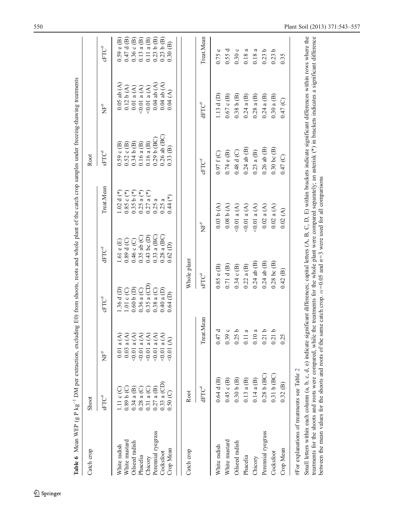|                                             |                          | <b>Table 6</b> Mean WEP (g P kg <sup>-1</sup> DM per extraction, excluding E0) from shoots, roots and whole plant of the catch crop samples under freezing-thawing treatments                                                                                                                                          |                              |                                                                          |                         |                                    |                            |                      |
|---------------------------------------------|--------------------------|------------------------------------------------------------------------------------------------------------------------------------------------------------------------------------------------------------------------------------------------------------------------------------------------------------------------|------------------------------|--------------------------------------------------------------------------|-------------------------|------------------------------------|----------------------------|----------------------|
| Catch crop                                  | Shoot                    |                                                                                                                                                                                                                                                                                                                        |                              |                                                                          |                         | Root                               |                            |                      |
|                                             | ${\rm SFTC}^*$           | İH                                                                                                                                                                                                                                                                                                                     | $cFTC^*$                     | dFTC <sup>#</sup>                                                        | Treat.Mean              | ${\rm sFTC}^{\#}$                  | "上<br>又                    | $cFTC^*$             |
| White radish                                | $111c$ C                 | $0.01$ a $(A)$                                                                                                                                                                                                                                                                                                         | 1.36 d(D)                    | 1.61 e (E)                                                               | $1.02 d$ (*)            | $0.59 \text{ c (B)}$               | $0.05$ ab $(A)$            | $0.59 \in (B)$       |
| White mustard                               | $0.89 b$ (C)             | $0.03$ a $(A)$                                                                                                                                                                                                                                                                                                         | 1.01 c(C)                    | $0.89 d$ (C)                                                             | $0.85c$ (*)             | $0.52 \text{ c}$ $\textcircled{B}$ | 0.12 b(A)                  | $0.47 d$ (B)         |
| Oilseed radish                              | 0.34 a (B)               | $(4)$ = 0.01 a                                                                                                                                                                                                                                                                                                         | 0.60 b(D)                    | 0.46c(C)                                                                 | $0.35 b (*)$            | 0.34 b(B)                          | $0.01$ a $(\mathrm{A})$    | $0.36$ c $(B)$       |
| Phacelia                                    | 0.28a(C)                 | $(4)$ (A)                                                                                                                                                                                                                                                                                                              | $0.36$ a (C)                 | $0.35$ ab $(C)$                                                          | $0.25 a$ <sup>*</sup> ) | $0.16$ a $(B)$                     | $<0.01$ a $(\mathrm{A})$   | $0.13$ a $(B)$       |
| Chicory                                     | 0.31 a (C)               | $<0.01$ a (A)                                                                                                                                                                                                                                                                                                          | $0.35a$ (CD)                 | $0.43$ bc (D)                                                            | $0.27$ a $(*)$          | $0.16$ a $(B)$                     | $0.01$ a $(A)$             | $0.11$ a $(B)$       |
| Perennial ryegrass                          | $0.27$ a $(B)$           | $(4)$ = 0.01 a                                                                                                                                                                                                                                                                                                         | $0.38$ a (C)                 | $0.33$ a (BC)<br>$0.28$ a (BC)                                           | 0.25a                   | $0.29 b$ $\text{B}$ $\text{C}$     | $0.04$ ab $(A)$            | 0.23 b(B)            |
| Crop Mean<br>Cocksfoot                      | $0.33 a$ (CD)<br>0.50(C) | $(4)$ = 0.00<br>0.01(A)                                                                                                                                                                                                                                                                                                | $0.40$ a $(D)$<br>$0.64$ (D) | 0.62(D)                                                                  | $0.44(*)$<br>0.25a      | $0.26$ ab $(BC)$<br>0.33(B)        | $0.04$ ab $(A)$<br>0.04(A) | 0.23 b(B)<br>0.30(B) |
|                                             |                          |                                                                                                                                                                                                                                                                                                                        |                              |                                                                          |                         |                                    |                            |                      |
| Catch crop                                  | Root                     |                                                                                                                                                                                                                                                                                                                        | Whole plant                  |                                                                          |                         |                                    |                            |                      |
|                                             | dFTC <sup>#</sup>        | Treat.Mean                                                                                                                                                                                                                                                                                                             | ${\rm sFTC}^*$               | $\stackrel{\scriptscriptstyle\#}{E}\stackrel{\scriptscriptstyle\#}{{E}}$ |                         | $cFTC^*$                           | dFTC <sup>#</sup>          | Treat.Mean           |
| White radish                                | $0.64$ d $(B)$           | 0.47d                                                                                                                                                                                                                                                                                                                  | 0.85e(B)                     |                                                                          | 0.03 b(A)               | 0.97 f(C)                          | 1.13 d(D)                  | 0.75e                |
| White mustard                               | $0.45$ c $(B)$           | 0.39c                                                                                                                                                                                                                                                                                                                  | $0.71 d$ (B)                 |                                                                          | (9.08 b(A))             | 0.74 e(B)                          | $0.67$ c $(B)$             | 0.55d                |
| Oilseed radish                              | 0.30 b(B)                | 0.25 <sub>b</sub>                                                                                                                                                                                                                                                                                                      | $0.34$ c $(B)$               |                                                                          | $(4)$ a $(4)$           | $0.48 d$ (C)                       | 0.38 b(B)                  | 0.30c                |
| Phacelia                                    | $0.13$ a $(B)$           | 0.11a                                                                                                                                                                                                                                                                                                                  | $0.22$ a $(B)$               |                                                                          | $(4)$ a (A)             | $0.24$ ab $(B)$                    | $0.24$ a $(B)$             | $0.18\;{\rm a}$      |
| Chicory                                     | 0.14a(B)                 | $0.10\;{\rm a}$                                                                                                                                                                                                                                                                                                        | $0.24$ ab $(B)$              |                                                                          | 0.01 a(A)               | $0.23$ a $(B)$                     | $0.28$ a $(B)$             | $0.18\;{\rm a}$      |
| Perennial ryegrass                          | $0.28 b$ (BC)            | 0.21 b                                                                                                                                                                                                                                                                                                                 | $0.24$ ab $(B)$              |                                                                          | $0.02$ a $(A)$          | $0.26$ ab $(B)$                    | $0.24$ a $(B)$             | 0.23 b               |
| Cocksfoot                                   | $0.31 b$ (BC)            | 0.21 b                                                                                                                                                                                                                                                                                                                 | $0.28$ bc $(B)$              |                                                                          | $0.02$ a $(A)$          | $0.30$ bc $(B)$                    | $0.30$ a $(B)$             | 0.23 b               |
| Crop Mean                                   | 0.32(B)                  | 0.25                                                                                                                                                                                                                                                                                                                   | 0.42(B)                      |                                                                          | 0.02(A)                 | 0.47(C)                            | 0.47(C)                    | 0.35                 |
| #For explanations of treatments see Table 2 |                          |                                                                                                                                                                                                                                                                                                                        |                              |                                                                          |                         |                                    |                            |                      |
|                                             |                          | Small letters within each column (a, b, c, d, e) indicate significant differences; capital letters (A, B, C, D, E) within brackets indicate significant differences within rows where the                                                                                                                              |                              |                                                                          |                         |                                    |                            |                      |
|                                             |                          | treatments for the shoots and roots were compared, while the treatments for the whole plant were compared separately; an asterisk (*) in brackets indicates a significant difference<br>between the mean values for the shoots and roots of the same catch crop. $\alpha=0.05$ and $n=3$ were used for all comparisons |                              |                                                                          |                         |                                    |                            |                      |

<span id="page-7-0"></span>

 $\underline{\textcircled{\tiny 2}}$  Springer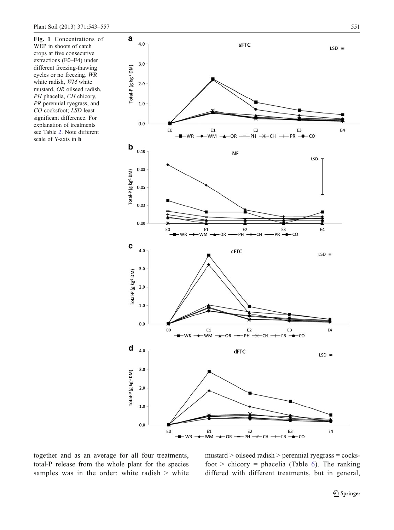<span id="page-8-0"></span>Fig. 1 Concentrations of WEP in shoots of catch crops at five consecutive extractions (E0–E4) under different freezing-thawing cycles or no freezing. WR white radish, WM white mustard, OR oilseed radish, PH phacelia, CH chicory, PR perennial ryegrass, and CO cocksfoot; LSD least significant difference. For explanation of treatments see Table [2](#page-4-0). Note different scale of Y-axis in b



together and as an average for all four treatments, total-P release from the whole plant for the species samples was in the order: white radish > white mustard > oilseed radish > perennial ryegrass = cocksfoot  $>$  chicory = phacelia (Table [6\)](#page-7-0). The ranking differed with different treatments, but in general,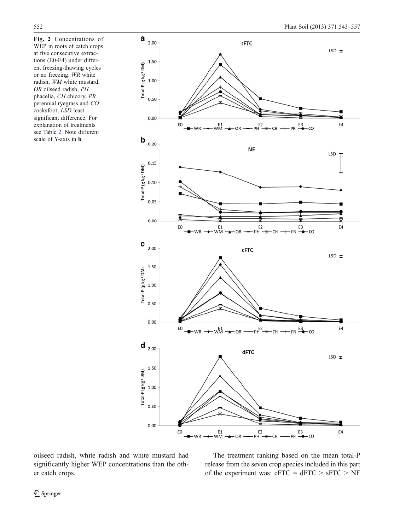<span id="page-9-0"></span>Fig. 2 Concentrations of WEP in roots of catch crops at five consecutive extractions (E0-E4) under different freezing-thawing cycles or no freezing. WR white radish, WM white mustard, OR oilseed radish, PH phacelia, CH chicory, PR perennial ryegrass and CO cocksfoot; LSD least significant difference. For explanation of treatments see Table [2](#page-4-0). Note different scale of Y-axis in b



oilseed radish, white radish and white mustard had significantly higher WEP concentrations than the other catch crops.

The treatment ranking based on the mean total-P release from the seven crop species included in this part of the experiment was:  $cFTC = dFTC > sFTC > NF$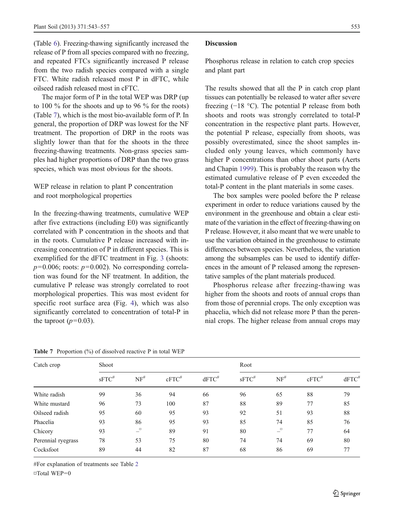(Table [6](#page-7-0)). Freezing-thawing significantly increased the release of P from all species compared with no freezing, and repeated FTCs significantly increased P release from the two radish species compared with a single FTC. White radish released most P in dFTC, while oilseed radish released most in cFTC.

The major form of P in the total WEP was DRP (up to 100 % for the shoots and up to 96 % for the roots) (Table 7), which is the most bio-available form of P. In general, the proportion of DRP was lowest for the NF treatment. The proportion of DRP in the roots was slightly lower than that for the shoots in the three freezing-thawing treatments. Non-grass species samples had higher proportions of DRP than the two grass species, which was most obvious for the shoots.

WEP release in relation to plant P concentration and root morphological properties

In the freezing-thawing treatments, cumulative WEP after five extractions (including E0) was significantly correlated with P concentration in the shoots and that in the roots. Cumulative P release increased with increasing concentration of P in different species. This is exemplified for the dFTC treatment in Fig. [3](#page-11-0) (shoots:  $p=0.006$ ; roots:  $p=0.002$ ). No corresponding correlation was found for the NF treatment. In addition, the cumulative P release was strongly correlated to root morphological properties. This was most evident for specific root surface area (Fig. [4](#page-11-0)), which was also significantly correlated to concentration of total-P in the taproot  $(p=0.03)$ .

## Discussion

Phosphorus release in relation to catch crop species and plant part

The results showed that all the P in catch crop plant tissues can potentially be released to water after severe freezing (−18 °C). The potential P release from both shoots and roots was strongly correlated to total-P concentration in the respective plant parts. However, the potential P release, especially from shoots, was possibly overestimated, since the shoot samples included only young leaves, which commonly have higher P concentrations than other shoot parts (Aerts and Chapin [1999](#page-13-0)). This is probably the reason why the estimated cumulative release of P even exceeded the total-P content in the plant materials in some cases.

The box samples were pooled before the P release experiment in order to reduce variations caused by the environment in the greenhouse and obtain a clear estimate of the variation in the effect of freezing-thawing on P release. However, it also meant that we were unable to use the variation obtained in the greenhouse to estimate differences between species. Nevertheless, the variation among the subsamples can be used to identify differences in the amount of P released among the representative samples of the plant materials produced.

Phosphorus release after freezing-thawing was higher from the shoots and roots of annual crops than from those of perennial crops. The only exception was phacelia, which did not release more P than the perennial crops. The higher release from annual crops may

| Catch crop         | Shoot       |                                        |                     |          | Root        |                                   |                     |          |
|--------------------|-------------|----------------------------------------|---------------------|----------|-------------|-----------------------------------|---------------------|----------|
|                    | $sFTC^{\#}$ | $NF^{\#}$                              | $cFTC$ <sup>#</sup> | $dFTC^*$ | $sFTC^{\#}$ | $NF^{\#}$                         | $cFTC$ <sup>#</sup> | $dFTC^*$ |
| White radish       | 99          | 36                                     | 94                  | 66       | 96          | 65                                | 88                  | 79       |
| White mustard      | 96          | 73                                     | 100                 | 87       | 88          | 89                                | 77                  | 85       |
| Oilseed radish     | 95          | 60                                     | 95                  | 93       | 92          | 51                                | 93                  | 88       |
| Phacelia           | 93          | 86                                     | 95                  | 93       | 85          | 74                                | 85                  | 76       |
| Chicory            | 93          | $\overline{\phantom{a}}^{\phantom{a}}$ | 89                  | 91       | 80          | $\overline{\phantom{a}}^{\alpha}$ | 77                  | 64       |
| Perennial ryegrass | 78          | 53                                     | 75                  | 80       | 74          | 74                                | 69                  | 80       |
| Cocksfoot          | 89          | 44                                     | 82                  | 87       | 68          | 86                                | 69                  | 77       |

**Table 7** Proportion  $(\%)$  of dissolved reactive P in total WEP

#For explanation of treatments see Table [2](#page-4-0) ¤Total WEP=0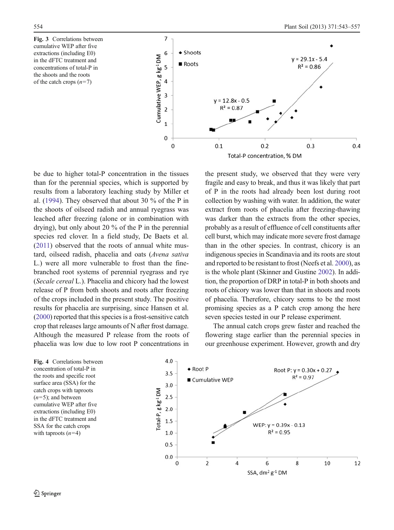<span id="page-11-0"></span>Fig. 3 Correlations between cumulative WEP after five extractions (including E0) in the dFTC treatment and concentrations of total-P in the shoots and the roots of the catch crops  $(n=7)$ 



be due to higher total-P concentration in the tissues than for the perennial species, which is supported by results from a laboratory leaching study by Miller et al. [\(1994](#page-14-0)). They observed that about 30 % of the P in the shoots of oilseed radish and annual ryegrass was leached after freezing (alone or in combination with drying), but only about 20 % of the P in the perennial species red clover. In a field study, De Baets et al. ([2011\)](#page-14-0) observed that the roots of annual white mustard, oilseed radish, phacelia and oats (Avena sativa L.) were all more vulnerable to frost than the finebranched root systems of perennial ryegrass and rye (Secale cereal L.). Phacelia and chicory had the lowest release of P from both shoots and roots after freezing of the crops included in the present study. The positive results for phacelia are surprising, since Hansen et al. ([2000](#page-14-0)) reported that this species is a frost-sensitive catch crop that releases large amounts of N after frost damage. Although the measured P release from the roots of phacelia was low due to low root P concentrations in

the present study, we observed that they were very fragile and easy to break, and thus it was likely that part of P in the roots had already been lost during root collection by washing with water. In addition, the water extract from roots of phacelia after freezing-thawing was darker than the extracts from the other species, probably as a result of effluence of cell constituents after cell burst, which may indicate more severe frost damage than in the other species. In contrast, chicory is an indigenous species in Scandinavia and its roots are stout and reported to be resistant to frost (Neefs et al. [2000\)](#page-14-0), as is the whole plant (Skinner and Gustine [2002\)](#page-14-0). In addition, the proportion of DRP in total-P in both shoots and roots of chicory was lower than that in shoots and roots of phacelia. Therefore, chicory seems to be the most promising species as a P catch crop among the here seven species tested in our P release experiment.

The annual catch crops grew faster and reached the flowering stage earlier than the perennial species in our greenhouse experiment. However, growth and dry

Fig. 4 Correlations between concentration of total-P in the roots and specific root surface area (SSA) for the catch crops with taproots  $(n=5)$ ; and between cumulative WEP after five extractions (including E0) in the dFTC treatment and SSA for the catch crops with taproots  $(n=4)$ 

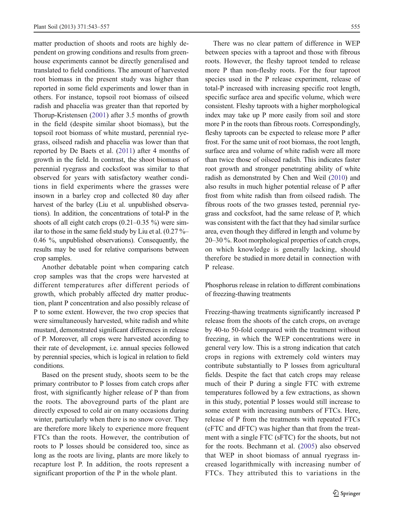matter production of shoots and roots are highly dependent on growing conditions and results from greenhouse experiments cannot be directly generalised and translated to field conditions. The amount of harvested root biomass in the present study was higher than reported in some field experiments and lower than in others. For instance, topsoil root biomass of oilseed radish and phacelia was greater than that reported by Thorup-Kristensen ([2001\)](#page-14-0) after 3.5 months of growth in the field (despite similar shoot biomass), but the topsoil root biomass of white mustard, perennial ryegrass, oilseed radish and phacelia was lower than that reported by De Baets et al. ([2011](#page-14-0)) after 4 months of growth in the field. In contrast, the shoot biomass of perennial ryegrass and cocksfoot was similar to that observed for years with satisfactory weather conditions in field experiments where the grasses were insown in a barley crop and collected 80 day after harvest of the barley (Liu et al. unpublished observations). In addition, the concentrations of total-P in the shoots of all eight catch crops  $(0.21-0.35\%)$  were similar to those in the same field study by Liu et al.  $(0.27\% -$ 0.46 %, unpublished observations). Consequently, the results may be used for relative comparisons between crop samples.

Another debatable point when comparing catch crop samples was that the crops were harvested at different temperatures after different periods of growth, which probably affected dry matter production, plant P concentration and also possibly release of P to some extent. However, the two crop species that were simultaneously harvested, white radish and white mustard, demonstrated significant differences in release of P. Moreover, all crops were harvested according to their rate of development, i.e. annual species followed by perennial species, which is logical in relation to field conditions.

Based on the present study, shoots seem to be the primary contributor to P losses from catch crops after frost, with significantly higher release of P than from the roots. The aboveground parts of the plant are directly exposed to cold air on many occasions during winter, particularly when there is no snow cover. They are therefore more likely to experience more frequent FTCs than the roots. However, the contribution of roots to P losses should be considered too, since as long as the roots are living, plants are more likely to recapture lost P. In addition, the roots represent a significant proportion of the P in the whole plant.

There was no clear pattern of difference in WEP between species with a taproot and those with fibrous roots. However, the fleshy taproot tended to release more P than non-fleshy roots. For the four taproot species used in the P release experiment, release of total-P increased with increasing specific root length, specific surface area and specific volume, which were consistent. Fleshy taproots with a higher morphological index may take up P more easily from soil and store more P in the roots than fibrous roots. Correspondingly, fleshy taproots can be expected to release more P after frost. For the same unit of root biomass, the root length, surface area and volume of white radish were all more than twice those of oilseed radish. This indicates faster root growth and stronger penetrating ability of white radish as demonstrated by Chen and Weil ([2010](#page-14-0)) and also results in much higher potential release of P after frost from white radish than from oilseed radish. The fibrous roots of the two grasses tested, perennial ryegrass and cocksfoot, had the same release of P, which was consistent with the fact that they had similar surface area, even though they differed in length and volume by 20–30 %. Root morphological properties of catch crops, on which knowledge is generally lacking, should therefore be studied in more detail in connection with P release.

Phosphorus release in relation to different combinations of freezing-thawing treatments

Freezing-thawing treatments significantly increased P release from the shoots of the catch crops, on average by 40-to 50-fold compared with the treatment without freezing, in which the WEP concentrations were in general very low. This is a strong indication that catch crops in regions with extremely cold winters may contribute substantially to P losses from agricultural fields. Despite the fact that catch crops may release much of their P during a single FTC with extreme temperatures followed by a few extractions, as shown in this study, potential P losses would still increase to some extent with increasing numbers of FTCs. Here, release of P from the treatments with repeated FTCs (cFTC and dFTC) was higher than that from the treatment with a single FTC (sFTC) for the shoots, but not for the roots. Bechmann et al. [\(2005](#page-14-0)) also observed that WEP in shoot biomass of annual ryegrass increased logarithmically with increasing number of FTCs. They attributed this to variations in the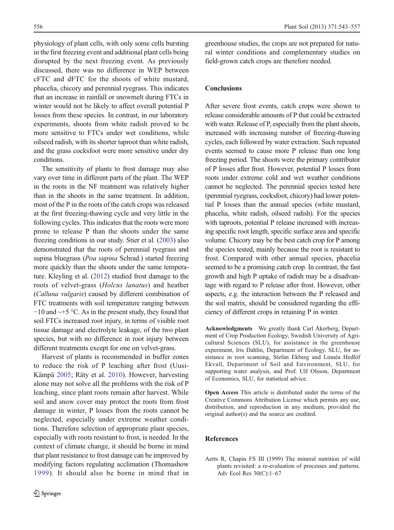<span id="page-13-0"></span>physiology of plant cells, with only some cells bursting in the first freezing event and additional plant cells being disrupted by the next freezing event. As previously discussed, there was no difference in WEP between cFTC and dFTC for the shoots of white mustard, phacelia, chicory and perennial ryegrass. This indicates that an increase in rainfall or snowmelt during FTCs in winter would not be likely to affect overall potential P losses from these species. In contrast, in our laboratory experiments, shoots from white radish proved to be more sensitive to FTCs under wet conditions, while oilseed radish, with its shorter taproot than white radish, and the grass cocksfoot were more sensitive under dry conditions.

The sensitivity of plants to frost damage may also vary over time in different parts of the plant. The WEP in the roots in the NF treatment was relatively higher than in the shoots in the same treatment. In addition, most of the P in the roots of the catch crops was released at the first freezing-thawing cycle and very little in the following cycles. This indicates that the roots were more prone to release P than the shoots under the same freezing conditions in our study. Stier et al. [\(2003\)](#page-14-0) also demonstrated that the roots of perennial ryegrass and supina bluegrass (Poa supina Schrad.) started freezing more quickly than the shoots under the same temperature. Kleyling et al. [\(2012\)](#page-14-0) studied frost damage to the roots of velvet-grass (Holcus lanatus) and heather (Calluna vulgaris) caused by different combination of FTC treatments with soil temperature ranging between −10 and ~+5 °C. As in the present study, they found that soil FTCs increased root injury, in terms of visible root tissue damage and electrolyte leakage, of the two plant species, but with no difference in root injury between different treatments except for one on velvet-grass.

Harvest of plants is recommended in buffer zones to reduce the risk of P leaching after frost (Uusi-Kämpä [2005;](#page-14-0) Räty et al. [2010](#page-14-0)). However, harvesting alone may not solve all the problems with the risk of P leaching, since plant roots remain after harvest. While soil and snow cover may protect the roots from frost damage in winter, P losses from the roots cannot be neglected, especially under extreme weather conditions. Therefore selection of appropriate plant species, especially with roots resistant to frost, is needed. In the context of climate change, it should be borne in mind that plant resistance to frost damage can be improved by modifying factors regulating acclimation (Thomashow [1999\)](#page-14-0). It should also be borne in mind that in greenhouse studies, the crops are not prepared for natural winter conditions and complementary studies on field-grown catch crops are therefore needed.

# Conclusions

After severe frost events, catch crops were shown to release considerable amounts of P that could be extracted with water. Release of P, especially from the plant shoots, increased with increasing number of freezing-thawing cycles, each followed by water extraction. Such repeated events seemed to cause more P release than one long freezing period. The shoots were the primary contributor of P losses after frost. However, potential P losses from roots under extreme cold and wet weather conditions cannot be neglected. The perennial species tested here (perennial ryegrass, cocksfoot, chicory) had lower potential P losses than the annual species (white mustard, phacelia, white radish, oilseed radish). For the species with taproots, potential P release increased with increasing specific root length, specific surface area and specific volume. Chicory may be the best catch crop for P among the species tested, mainly because the root is resistant to frost. Compared with other annual species, phacelia seemed to be a promising catch crop. In contrast, the fast growth and high P uptake of radish may be a disadvantage with regard to P release after frost. However, other aspects, e.g. the interaction between the P released and the soil matrix, should be considered regarding the efficiency of different crops in retaining P in winter.

Acknowledgments We greatly thank Carl Åkerberg, Department of Crop Production Ecology, Swedish University of Agricultural Sciences (SLU), for assistance in the greenhouse experiment, Iris Dahlin, Department of Ecology, SLU, for assistance in root scanning, Stefan Ekberg and Linnéa Hedlöf Ekvall, Department of Soil and Environment, SLU, for supporting water analysis, and Prof. Ulf Olsson, Department of Economics, SLU, for statistical advice.

Open Access This article is distributed under the terms of the Creative Commons Attribution License which permits any use, distribution, and reproduction in any medium, provided the original author(s) and the source are credited.

# References

Aerts R, Chapin FS III (1999) The mineral nutrition of wild plants revisited: a re-evaluation of processes and patterns. Adv Ecol Res 30(C):1–67